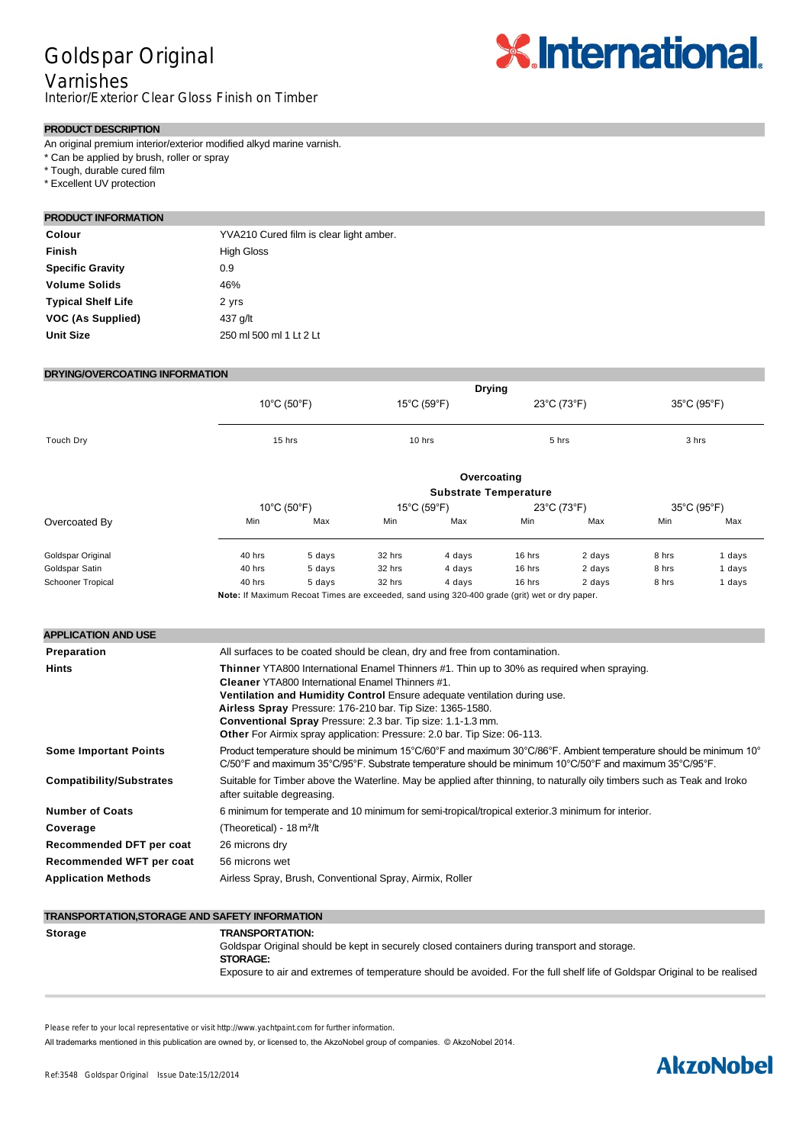## Goldspar Original

### Varnishes

Interior/Exterior Clear Gloss Finish on Timber

# **X**.International.

#### **PRODUCT DESCRIPTION**

An original premium interior/exterior modified alkyd marine varnish.

- \* Can be applied by brush, roller or spray
- \* Tough, durable cured film

\* Excellent UV protection

#### **PRODUCT INFORMATION**

| Colour                    | YVA210 Cured film is clear light amber. |
|---------------------------|-----------------------------------------|
| <b>Finish</b>             | <b>High Gloss</b>                       |
| <b>Specific Gravity</b>   | 0.9                                     |
| <b>Volume Solids</b>      | 46%                                     |
| <b>Typical Shelf Life</b> | 2 yrs                                   |
| VOC (As Supplied)         | 437 g/lt                                |
| <b>Unit Size</b>          | 250 ml 500 ml 1 Lt 2 Lt                 |

#### **DRYING/OVERCOATING INFORMATION**

|                                                           |                                                                                                                                                                                                                                                                                                                                                                                                                                                                                                                          | <b>Drying</b>                    |        |                                                            |        |             |             |             |  |
|-----------------------------------------------------------|--------------------------------------------------------------------------------------------------------------------------------------------------------------------------------------------------------------------------------------------------------------------------------------------------------------------------------------------------------------------------------------------------------------------------------------------------------------------------------------------------------------------------|----------------------------------|--------|------------------------------------------------------------|--------|-------------|-------------|-------------|--|
|                                                           | 10°C (50°F)                                                                                                                                                                                                                                                                                                                                                                                                                                                                                                              |                                  |        | 15°C (59°F)                                                |        | 23°C (73°F) |             | 35°C (95°F) |  |
| Touch Dry                                                 |                                                                                                                                                                                                                                                                                                                                                                                                                                                                                                                          | 15 hrs                           |        | 10 hrs                                                     |        | 5 hrs       |             | 3 hrs       |  |
|                                                           | Overcoating                                                                                                                                                                                                                                                                                                                                                                                                                                                                                                              |                                  |        |                                                            |        |             |             |             |  |
|                                                           |                                                                                                                                                                                                                                                                                                                                                                                                                                                                                                                          | $10^{\circ}$ C (50 $^{\circ}$ F) |        | <b>Substrate Temperature</b><br>15°C (59°F)<br>23°C (73°F) |        |             | 35°C (95°F) |             |  |
| Overcoated By                                             | Min                                                                                                                                                                                                                                                                                                                                                                                                                                                                                                                      | Max                              | Min    | Max                                                        | Min    | Max         | Min         | Max         |  |
| Goldspar Original                                         | 40 hrs                                                                                                                                                                                                                                                                                                                                                                                                                                                                                                                   | 5 days                           | 32 hrs | 4 days                                                     | 16 hrs | 2 days      | 8 hrs       | 1 days      |  |
| Goldspar Satin                                            | 40 hrs                                                                                                                                                                                                                                                                                                                                                                                                                                                                                                                   | 5 days                           | 32 hrs | 4 days                                                     | 16 hrs | 2 days      | 8 hrs       | 1 days      |  |
| <b>Schooner Tropical</b>                                  | 40 hrs                                                                                                                                                                                                                                                                                                                                                                                                                                                                                                                   | 5 days                           | 32 hrs | 4 days                                                     | 16 hrs | 2 days      | 8 hrs       | 1 days      |  |
| <b>APPLICATION AND USE</b><br>Preparation<br><b>Hints</b> | All surfaces to be coated should be clean, dry and free from contamination.<br>Thinner YTA800 International Enamel Thinners #1. Thin up to 30% as required when spraying.<br><b>Cleaner YTA800 International Enamel Thinners #1.</b><br>Ventilation and Humidity Control Ensure adequate ventilation during use.<br>Airless Spray Pressure: 176-210 bar. Tip Size: 1365-1580.<br>Conventional Spray Pressure: 2.3 bar. Tip size: 1.1-1.3 mm.<br>Other For Airmix spray application: Pressure: 2.0 bar. Tip Size: 06-113. |                                  |        |                                                            |        |             |             |             |  |
| <b>Some Important Points</b>                              | Product temperature should be minimum 15°C/60°F and maximum 30°C/86°F. Ambient temperature should be minimum 10°<br>$C/50^{\circ}$ F and maximum 35°C/95°F. Substrate temperature should be minimum 10°C/50°F and maximum 35°C/95°F.                                                                                                                                                                                                                                                                                     |                                  |        |                                                            |        |             |             |             |  |
| <b>Compatibility/Substrates</b>                           | Suitable for Timber above the Waterline. May be applied after thinning, to naturally oily timbers such as Teak and Iroko<br>after suitable degreasing.                                                                                                                                                                                                                                                                                                                                                                   |                                  |        |                                                            |        |             |             |             |  |
| <b>Number of Coats</b>                                    | 6 minimum for temperate and 10 minimum for semi-tropical/tropical exterior.3 minimum for interior.                                                                                                                                                                                                                                                                                                                                                                                                                       |                                  |        |                                                            |        |             |             |             |  |
| Coverage                                                  | (Theoretical) - 18 m <sup>2</sup> /lt                                                                                                                                                                                                                                                                                                                                                                                                                                                                                    |                                  |        |                                                            |        |             |             |             |  |
| Recommended DFT per coat                                  | 26 microns dry                                                                                                                                                                                                                                                                                                                                                                                                                                                                                                           |                                  |        |                                                            |        |             |             |             |  |
| Recommended WFT per coat                                  |                                                                                                                                                                                                                                                                                                                                                                                                                                                                                                                          | 56 microns wet                   |        |                                                            |        |             |             |             |  |
| <b>Application Methods</b>                                | Airless Spray, Brush, Conventional Spray, Airmix, Roller                                                                                                                                                                                                                                                                                                                                                                                                                                                                 |                                  |        |                                                            |        |             |             |             |  |
|                                                           |                                                                                                                                                                                                                                                                                                                                                                                                                                                                                                                          |                                  |        |                                                            |        |             |             |             |  |

#### **TRANSPORTATION,STORAGE AND SAFETY INFORMATION**

| <b>Storage</b> | <b>TRANSPORTATION:</b><br>Goldspar Original should be kept in securely closed containers during transport and storage.     |
|----------------|----------------------------------------------------------------------------------------------------------------------------|
|                | <b>STORAGE:</b>                                                                                                            |
|                | Exposure to air and extremes of temperature should be avoided. For the full shelf life of Goldspar Original to be realised |

Please refer to your local representative or visit http://www.yachtpaint.com for further information.

All trademarks mentioned in this publication are owned by, or licensed to, the AkzoNobel group of companies. © AkzoNobel 2014.